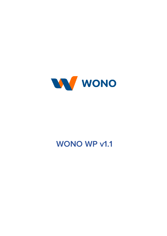

## **WONO WP v1.1**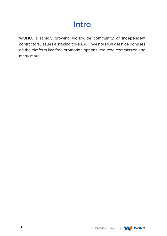## **Intro**

WONO, a rapidly growing worldwide community of independent contractors, issues a staking token. All investors will get nice bonuses on the platform like free promotion options, reduced commission and many more.

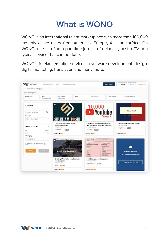## **What is WONO**

WONO is an international talent marketplace with more than 100,000 monthly active users from Americas, Europe, Asia and Africa. On WONO, one can find a part-time job as a freelancer, post a CV or a typical service that can be done.

WONO's freelancers offer services in software development, design, digital marketing, translation and many more.



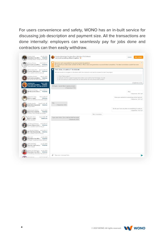For users convenience and safety, WONO has an in-built service for discussing job description and payment size. All the transactions are done internally: employers can seamlessly pay for jobs done and contractors can then easily withdraw.



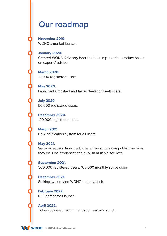### **Our roadmap**

**November 2019.** WONO's market launch.

#### **January 2020.**

Created WONO Advisory board to help improve the product based on experts' advice.

**March 2020.**  10,000 registered users.

**May 2020.**  Launched simplified and faster deals for freelancers.

**July 2020.** 50,000 registered users.

**December 2020.**  100,000 registered users.

**March 2021.**  New notification system for all users.

#### **May 2021.**

Services section launched, where freelancers can publish services they do. One freelancer can publish multiple services.

**September 2021.**  500,000 registered users. 100,000 monthly active users.

**December 2021.**  Staking system and WONO token launch.

**February 2022.**  NFT certificates launch.

**April 2022.**  Token-powered recommendation system launch.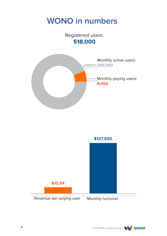## **WONO in numbers**

Registered users: **518,000**





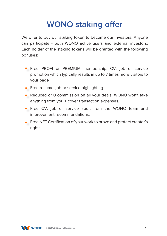# **WONO staking offer**

We offer to buy our staking token to become our investors. Anyone can participate - both WONO active users and external investors. Each holder of the staking tokens will be granted with the following bonuses:

- Free PROFI or PREMIUM membership: CV, job or service promotion which typically results in up to 7 times more visitors to your page
- **•** Free resume, job or service highlighting
- Reduced or 0 commission on all your deals. WONO won't take anything from you + cover transaction expenses.
- Free CV, job or service audit from the WONO team and improvement recommendations.
- Free NFT Certification of your work to prove and protect creator's rights

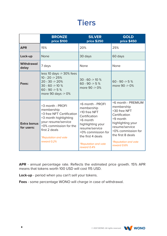### **Tiers**

|                                  | <b>BRONZE</b><br><b>price \$100</b>                                                                                                                                                                  | <b>SILVER</b><br><b>price \$250</b>                                                                                                                                                                         | <b>GOLD</b><br><b>price \$450</b>                                                                                                                                                                             |
|----------------------------------|------------------------------------------------------------------------------------------------------------------------------------------------------------------------------------------------------|-------------------------------------------------------------------------------------------------------------------------------------------------------------------------------------------------------------|---------------------------------------------------------------------------------------------------------------------------------------------------------------------------------------------------------------|
| <b>APR</b>                       | 15%                                                                                                                                                                                                  | 20%                                                                                                                                                                                                         | 25%                                                                                                                                                                                                           |
| Lock-up                          | <b>None</b>                                                                                                                                                                                          | 30 days                                                                                                                                                                                                     | 60 days                                                                                                                                                                                                       |
| <b>Withdrawal</b><br>delay       | 7 days                                                                                                                                                                                               | None                                                                                                                                                                                                        | None                                                                                                                                                                                                          |
| Fees:                            | less 10 days -> 30% fees<br>$10 - 20 \ge 25\%$<br>$20 - 30 \rightarrow 20\%$<br>$30 - 60 \rightarrow 10 \%$<br>60 - 90 -> 5 $%$<br>more 90 days -> 0%                                                | $30 - 60 \rightarrow 10 \%$<br>60 - 90 -> 5 $%$<br>more 90 -> 0%                                                                                                                                            | 60 - 90 -> 5 $%$<br>more 90 -> 0%                                                                                                                                                                             |
| <b>Extra bonus</b><br>for users: | +3 month - PROFI<br>membership<br>+3 free NFT Certification<br>+3 month highlighting<br>your resume/service<br>+0% commission for the<br>first 2 deals<br><i>*Reputation and vote</i><br>reward 0.2% | +6 month - PROFI<br>membership<br>+10 free NFT<br>Certification<br>+6 month<br>highlighting your<br>resume/service<br>+0% commission for<br>the first 4 deals<br><i>*Reputation and vote</i><br>reward 0.4% | +6 month - PREMIUM<br>membership<br>+30 free NFT<br>Certification<br>+9 month<br>highlighting your<br>resume/service<br>+0% commission for<br>the first 8 deals<br><i>*Reputation and vote</i><br>reward 0.6% |

**APR** - annual percentage rate. Reflects the estimated price growth. 15% APR means that tokens worth 100 USD will cost 115 USD.

**Lock-up** - period when you can't sell your tokens.

**Fees** - some percentage WONO will charge in case of withdrawal.